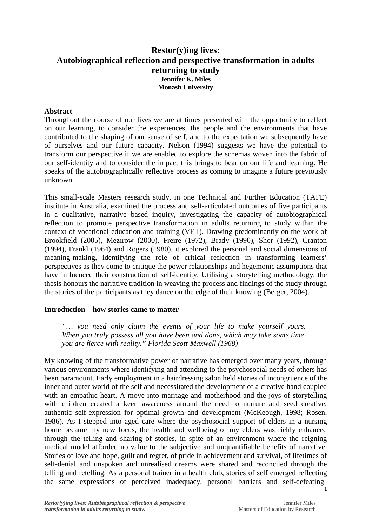# **Restor(y)ing lives: Autobiographical reflection and perspective transformation in adults returning to study Jennifer K. Miles Monash University**

#### **Abstract**

Throughout the course of our lives we are at times presented with the opportunity to reflect on our learning, to consider the experiences, the people and the environments that have contributed to the shaping of our sense of self, and to the expectation we subsequently have of ourselves and our future capacity. Nelson (1994) suggests we have the potential to transform our perspective if we are enabled to explore the schemas woven into the fabric of our self-identity and to consider the impact this brings to bear on our life and learning. He speaks of the autobiographically reflective process as coming to imagine a future previously unknown.

This small-scale Masters research study, in one Technical and Further Education (TAFE) institute in Australia, examined the process and self-articulated outcomes of five participants in a qualitative, narrative based inquiry, investigating the capacity of autobiographical reflection to promote perspective transformation in adults returning to study within the context of vocational education and training (VET). Drawing predominantly on the work of Brookfield (2005), Mezirow (2000), Freire (1972), Brady (1990), Shor (1992), Cranton (1994), Frankl (1964) and Rogers (1980), it explored the personal and social dimensions of meaning-making, identifying the role of critical reflection in transforming learners' perspectives as they come to critique the power relationships and hegemonic assumptions that have influenced their construction of self-identity. Utilising a storytelling methodology, the thesis honours the narrative tradition in weaving the process and findings of the study through the stories of the participants as they dance on the edge of their knowing (Berger, 2004).

#### **Introduction – how stories came to matter**

*"… you need only claim the events of your life to make yourself yours. When you truly possess all you have been and done, which may take some time, you are fierce with reality." Florida Scott-Maxwell (1968)* 

My knowing of the transformative power of narrative has emerged over many years, through various environments where identifying and attending to the psychosocial needs of others has been paramount. Early employment in a hairdressing salon held stories of incongruence of the inner and outer world of the self and necessitated the development of a creative hand coupled with an empathic heart. A move into marriage and motherhood and the joys of storytelling with children created a keen awareness around the need to nurture and seed creative, authentic self-expression for optimal growth and development (McKeough, 1998; Rosen, 1986). As I stepped into aged care where the psychosocial support of elders in a nursing home became my new focus, the health and wellbeing of my elders was richly enhanced through the telling and sharing of stories, in spite of an environment where the reigning medical model afforded no value to the subjective and unquantifiable benefits of narrative. Stories of love and hope, guilt and regret, of pride in achievement and survival, of lifetimes of self-denial and unspoken and unrealised dreams were shared and reconciled through the telling and retelling. As a personal trainer in a health club, stories of self emerged reflecting the same expressions of perceived inadequacy, personal barriers and self-defeating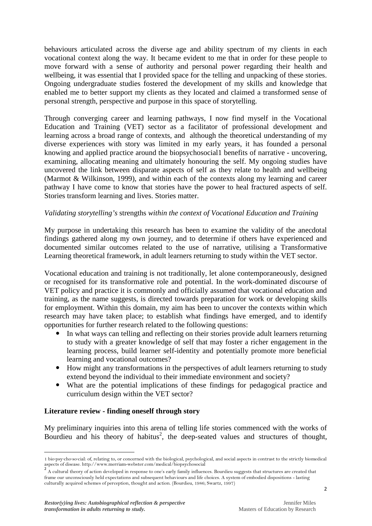behaviours articulated across the diverse age and ability spectrum of my clients in each vocational context along the way. It became evident to me that in order for these people to move forward with a sense of authority and personal power regarding their health and wellbeing, it was essential that I provided space for the telling and unpacking of these stories. Ongoing undergraduate studies fostered the development of my skills and knowledge that enabled me to better support my clients as they located and claimed a transformed sense of personal strength, perspective and purpose in this space of storytelling.

Through converging career and learning pathways, I now find myself in the Vocational Education and Training (VET) sector as a facilitator of professional development and learning across a broad range of contexts, and although the theoretical understanding of my diverse experiences with story was limited in my early years, it has founded a personal knowing and applied practice around the biopsychosocial1 benefits of narrative - uncovering, examining, allocating meaning and ultimately honouring the self. My ongoing studies have uncovered the link between disparate aspects of self as they relate to health and wellbeing (Marmot & Wilkinson, 1999), and within each of the contexts along my learning and career pathway I have come to know that stories have the power to heal fractured aspects of self. Stories transform learning and lives. Stories matter.

# *Validating storytelling's* strengths *within the context of Vocational Education and Training*

My purpose in undertaking this research has been to examine the validity of the anecdotal findings gathered along my own journey, and to determine if others have experienced and documented similar outcomes related to the use of narrative, utilising a Transformative Learning theoretical framework, in adult learners returning to study within the VET sector.

Vocational education and training is not traditionally, let alone contemporaneously, designed or recognised for its transformative role and potential. In the work-dominated discourse of VET policy and practice it is commonly and officially assumed that vocational education and training, as the name suggests, is directed towards preparation for work or developing skills for employment. Within this domain, my aim has been to uncover the contexts within which research may have taken place; to establish what findings have emerged, and to identify opportunities for further research related to the following questions:

- In what ways can telling and reflecting on their stories provide adult learners returning to study with a greater knowledge of self that may foster a richer engagement in the learning process, build learner self-identity and potentially promote more beneficial learning and vocational outcomes?
- How might any transformations in the perspectives of adult learners returning to study extend beyond the individual to their immediate environment and society?
- What are the potential implications of these findings for pedagogical practice and curriculum design within the VET sector?

## **Literature review - finding oneself through story**

My preliminary inquiries into this arena of telling life stories commenced with the works of Bourdieu and his theory of habitus<sup>2</sup>, the deep-seated values and structures of thought,

l

<sup>1</sup> bio·psy·cho·so·cial: of, relating to, or concerned with the biological, psychological, and social aspects in contrast to the strictly biomedical aspects of disease. http://www.merriam-webster.com/medical/biopsychosocial

 $\frac{2}{3}$  A cultural theory of action developed in response to one's early family influences. Bourdieu suggests that structures are created that frame our unconsciously held expectations and subsequent behaviours and life choices. A system of embodied dispositions - lasting culturally acquired schemes of perception, thought and action. (Bourdieu, 1986; Swartz, 1997)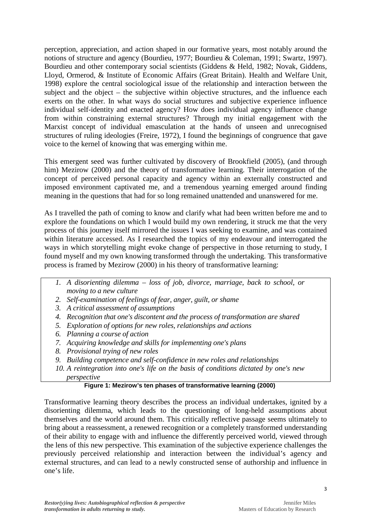perception, appreciation, and action shaped in our formative years, most notably around the notions of structure and agency (Bourdieu, 1977; Bourdieu & Coleman, 1991; Swartz, 1997). Bourdieu and other contemporary social scientists (Giddens & Held, 1982; Novak, Giddens, Lloyd, Ormerod, & Institute of Economic Affairs (Great Britain). Health and Welfare Unit, 1998) explore the central sociological issue of the relationship and interaction between the subject and the object – the subjective within objective structures, and the influence each exerts on the other. In what ways do social structures and subjective experience influence individual self-identity and enacted agency? How does individual agency influence change from within constraining external structures? Through my initial engagement with the Marxist concept of individual emasculation at the hands of unseen and unrecognised structures of ruling ideologies (Freire, 1972), I found the beginnings of congruence that gave voice to the kernel of knowing that was emerging within me.

This emergent seed was further cultivated by discovery of Brookfield (2005), (and through him) Mezirow (2000) and the theory of transformative learning. Their interrogation of the concept of perceived personal capacity and agency within an externally constructed and imposed environment captivated me, and a tremendous yearning emerged around finding meaning in the questions that had for so long remained unattended and unanswered for me.

As I travelled the path of coming to know and clarify what had been written before me and to explore the foundations on which I would build my own rendering, it struck me that the very process of this journey itself mirrored the issues I was seeking to examine, and was contained within literature accessed. As I researched the topics of my endeavour and interrogated the ways in which storytelling might evoke change of perspective in those returning to study, I found myself and my own knowing transformed through the undertaking. This transformative process is framed by Mezirow (2000) in his theory of transformative learning:

- *1. A disorienting dilemma loss of job, divorce, marriage, back to school, or moving to a new culture*
- *2. Self-examination of feelings of fear, anger, guilt, or shame*
- *3. A critical assessment of assumptions*
- *4. Recognition that one's discontent and the process of transformation are shared*
- *5. Exploration of options for new roles, relationships and actions*
- *6. Planning a course of action*
- *7. Acquiring knowledge and skills for implementing one's plans*
- *8. Provisional trying of new roles*
- *9. Building competence and self-confidence in new roles and relationships*
- *10. A reintegration into one's life on the basis of conditions dictated by one's new perspective*

#### **Figure 1: Mezirow's ten phases of transformative learning (2000)**

Transformative learning theory describes the process an individual undertakes, ignited by a disorienting dilemma, which leads to the questioning of long-held assumptions about themselves and the world around them. This critically reflective passage seems ultimately to bring about a reassessment, a renewed recognition or a completely transformed understanding of their ability to engage with and influence the differently perceived world, viewed through the lens of this new perspective. This examination of the subjective experience challenges the previously perceived relationship and interaction between the individual's agency and external structures, and can lead to a newly constructed sense of authorship and influence in one's life.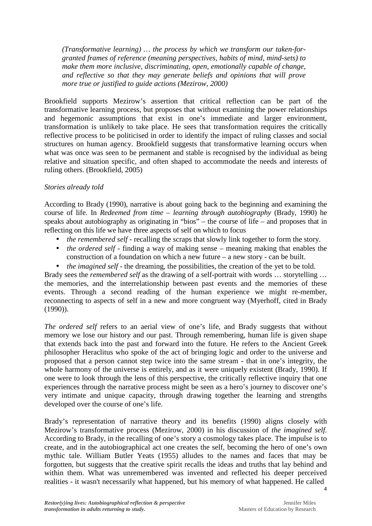*(Transformative learning) … the process by which we transform our taken-forgranted frames of reference (meaning perspectives, habits of mind, mind-sets) to make them more inclusive, discriminating, open, emotionally capable of change, and reflective so that they may generate beliefs and opinions that will prove more true or justified to guide actions (Mezirow, 2000)* 

Brookfield supports Mezirow's assertion that critical reflection can be part of the transformative learning process, but proposes that without examining the power relationships and hegemonic assumptions that exist in one's immediate and larger environment, transformation is unlikely to take place. He sees that transformation requires the critically reflective process to be politicised in order to identify the impact of ruling classes and social structures on human agency. Brookfield suggests that transformative learning occurs when what was once was seen to be permanent and stable is recognised by the individual as being relative and situation specific, and often shaped to accommodate the needs and interests of ruling others. (Brookfield, 2005)

## *Stories already told*

According to Brady (1990), narrative is about going back to the beginning and examining the course of life. In *Redeemed from time – learning through autobiography* (Brady, 1990) he speaks about autobiography as originating in "bios" – the course of life – and proposes that in reflecting on this life we have three aspects of self on which to focus

- *the remembered self -* recalling the scraps that slowly link together to form the story.
- *the ordered self* finding a way of making sense meaning making that enables the construction of a foundation on which a new future – a new story - can be built.
- *the imagined self* the dreaming, the possibilities, the creation of the yet to be told.

Brady sees the *remembered self* as the drawing of a self-portrait with words … storytelling … the memories, and the interrelationship between past events and the memories of these events. Through a second reading of the human experience we might re-member, reconnecting to aspects of self in a new and more congruent way (Myerhoff, cited in Brady (1990)).

*The ordered self* refers to an aerial view of one's life, and Brady suggests that without memory we lose our history and our past. Through remembering, human life is given shape that extends back into the past and forward into the future. He refers to the Ancient Greek philosopher Heraclitus who spoke of the act of bringing logic and order to the universe and proposed that a person cannot step twice into the same stream - that in one's integrity, the whole harmony of the universe is entirely, and as it were uniquely existent (Brady, 1990). If one were to look through the lens of this perspective, the critically reflective inquiry that one experiences through the narrative process might be seen as a hero's journey to discover one's very intimate and unique capacity, through drawing together the learning and strengths developed over the course of one's life.

Brady's representation of narrative theory and its benefits (1990) aligns closely with Mezirow's transformative process (Mezirow, 2000) in his discussion of *the imagined self.*  According to Brady, in the recalling of one's story a cosmology takes place. The impulse is to create, and in the autobiographical act one creates the self, becoming the hero of one's own mythic tale. William Butler Yeats (1955) alludes to the names and faces that may be forgotten, but suggests that the creative spirit recalls the ideas and truths that lay behind and within them. What was unremembered was invented and reflected his deeper perceived realities - it wasn't necessarily what happened, but his memory of what happened. He called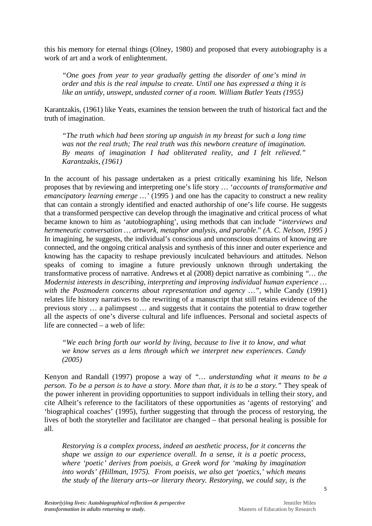this his memory for eternal things (Olney, 1980) and proposed that every autobiography is a work of art and a work of enlightenment.

*"One goes from year to year gradually getting the disorder of one's mind in order and this is the real impulse to create. Until one has expressed a thing it is like an untidy, unswept, undusted corner of a room. William Butler Yeats (1955)* 

Karantzakis, (1961) like Yeats, examines the tension between the truth of historical fact and the truth of imagination.

*"The truth which had been storing up anguish in my breast for such a long time was not the real truth; The real truth was this newborn creature of imagination. By means of imagination I had obliterated reality, and I felt relieved." Karantzakis, (1961)* 

In the account of his passage undertaken as a priest critically examining his life, Nelson proposes that by reviewing and interpreting one's life story … '*accounts of transformative and emancipatory learning emerge* ...' (1995) and one has the capacity to construct a new reality that can contain a strongly identified and enacted authorship of one's life course. He suggests that a transformed perspective can develop through the imaginative and critical process of what became known to him as 'autobiographing', using methods that can include *"interviews and hermeneutic conversation … artwork, metaphor analysis, and parable*." *(A. C. Nelson, 1995 )* In imagining, he suggests, the individual's conscious and unconscious domains of knowing are connected, and the ongoing critical analysis and synthesis of this inner and outer experience and knowing has the capacity to reshape previously inculcated behaviours and attitudes. Nelson speaks of coming to imagine a future previously unknown through undertaking the transformative process of narrative. Andrews et al (2008) depict narrative as combining *"… the Modernist interests in describing, interpreting and improving individual human experience … with the Postmodern concerns about representation and agency …"*, while Candy (1991) relates life history narratives to the rewriting of a manuscript that still retains evidence of the previous story … a palimpsest … and suggests that it contains the potential to draw together all the aspects of one's diverse cultural and life influences. Personal and societal aspects of life are connected – a web of life:

*"We each bring forth our world by living, because to live it to know, and what we know serves as a lens through which we interpret new experiences. Candy (2005)* 

Kenyon and Randall (1997) propose a way of *"… understanding what it means to be a person. To be a person is to have a story. More than that, it is to* be *a story."* They speak of the power inherent in providing opportunities to support individuals in telling their story, and cite Alheit's reference to the facilitators of these opportunities as 'agents of restorying' and 'biographical coaches' (1995), further suggesting that through the process of restorying, the lives of both the storyteller and facilitator are changed – that personal healing is possible for all.

*Restorying is a complex process, indeed an aesthetic process, for it concerns the shape we assign to our experience overall. In a sense, it is a poetic process, where 'poetic' derives from poeisis, a Greek word for 'making by imagination into words' (Hillman, 1975). From poeisis, we also get 'poetics,' which means the study of the literary arts--or literary theory. Restorying, we could say, is the*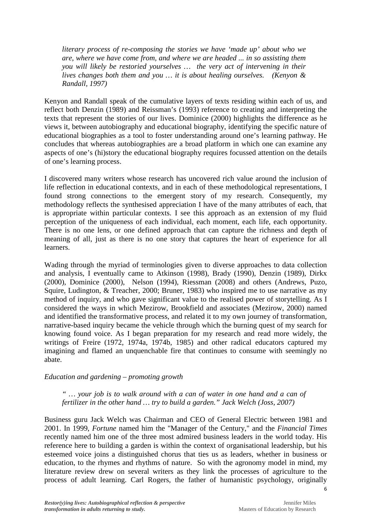*literary process of re-composing the stories we have 'made up' about who we are, where we have come from, and where we are headed ... in so assisting them you will likely be restoried yourselves … the very act of intervening in their lives changes both them and you … it is about healing ourselves. (Kenyon & Randall, 1997)* 

Kenyon and Randall speak of the cumulative layers of texts residing within each of us, and reflect both Denzin (1989) and Reissman's (1993) reference to creating and interpreting the texts that represent the stories of our lives. Dominice (2000) highlights the difference as he views it, between autobiography and educational biography, identifying the specific nature of educational biographies as a tool to foster understanding around one's learning pathway. He concludes that whereas autobiographies are a broad platform in which one can examine any aspects of one's (hi)story the educational biography requires focussed attention on the details of one's learning process.

I discovered many writers whose research has uncovered rich value around the inclusion of life reflection in educational contexts, and in each of these methodological representations, I found strong connections to the emergent story of my research. Consequently, my methodology reflects the synthesised appreciation I have of the many attributes of each, that is appropriate within particular contexts. I see this approach as an extension of my fluid perception of the uniqueness of each individual, each moment, each life, each opportunity. There is no one lens, or one defined approach that can capture the richness and depth of meaning of all, just as there is no one story that captures the heart of experience for all learners.

Wading through the myriad of terminologies given to diverse approaches to data collection and analysis, I eventually came to Atkinson (1998), Brady (1990), Denzin (1989), Dirkx (2000), Dominice (2000), Nelson (1994), Riessman (2008) and others (Andrews, Puzo, Squire, Ludington, & Treacher, 2000; Bruner, 1983) who inspired me to use narrative as my method of inquiry, and who gave significant value to the realised power of storytelling. As I considered the ways in which Mezirow, Brookfield and associates (Mezirow, 2000) named and identified the transformative process, and related it to my own journey of transformation, narrative-based inquiry became the vehicle through which the burning quest of my search for knowing found voice. As I began preparation for my research and read more widely, the writings of Freire (1972, 1974a, 1974b, 1985) and other radical educators captured my imagining and flamed an unquenchable fire that continues to consume with seemingly no abate.

## *Education and gardening – promoting growth*

*" … your job is to walk around with a can of water in one hand and a can of fertilizer in the other hand … try to build a garden." Jack Welch (Joss, 2007)* 

Business guru Jack Welch was Chairman and CEO of General Electric between 1981 and 2001. In 1999, *Fortune* named him the "Manager of the Century," and the *Financial Times* recently named him one of the three most admired business leaders in the world today. His reference here to building a garden is within the context of organisational leadership, but his esteemed voice joins a distinguished chorus that ties us as leaders, whether in business or education, to the rhymes and rhythms of nature. So with the agronomy model in mind, my literature review drew on several writers as they link the processes of agriculture to the process of adult learning. Carl Rogers, the father of humanistic psychology, originally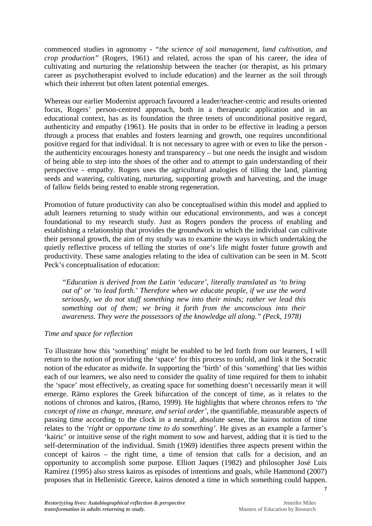commenced studies in agronomy - *"the science of soil management, land cultivation, and crop production"* (Rogers, 1961) and related, across the span of his career, the idea of cultivating and nurturing the relationship between the teacher (or therapist, as his primary career as psychotherapist evolved to include education) and the learner as the soil through which their inherent but often latent potential emerges.

Whereas our earlier Modernist approach favoured a leader/teacher-centric and results oriented focus, Rogers' person-centred approach, both in a therapeutic application and in an educational context, has as its foundation the three tenets of unconditional positive regard, authenticity and empathy (1961). He posits that in order to be effective in leading a person through a process that enables and fosters learning and growth, one requires unconditional positive regard for that individual. It is not necessary to agree with or even to like the person the authenticity encourages honesty and transparency – but one needs the insight and wisdom of being able to step into the shoes of the other and to attempt to gain understanding of their perspective - empathy. Rogers uses the agricultural analogies of tilling the land, planting seeds and watering, cultivating, nurturing, supporting growth and harvesting, and the image of fallow fields being rested to enable strong regeneration.

Promotion of future productivity can also be conceptualised within this model and applied to adult learners returning to study within our educational environments, and was a concept foundational to my research study. Just as Rogers ponders the process of enabling and establishing a relationship that provides the groundwork in which the individual can cultivate their personal growth, the aim of my study was to examine the ways in which undertaking the quietly reflective process of telling the stories of one's life might foster future growth and productivity. These same analogies relating to the idea of cultivation can be seen in M. Scott Peck's conceptualisation of education:

*"Education is derived from the Latin 'educare', literally translated as 'to bring out of' or 'to lead forth.' Therefore when we educate people, if we use the word seriously, we do not stuff something new into their minds; rather we lead this something out of them; we bring it forth from the unconscious into their awareness. They were the possessors of the knowledge all along." (Peck, 1978)* 

## *Time and space for reflection*

To illustrate how this 'something' might be enabled to be led forth from our learners, I will return to the notion of providing the 'space' for this process to unfold, and link it the Socratic notion of the educator as midwife. In supporting the 'birth' of this 'something' that lies within each of our learners, we also need to consider the quality of time required for them to inhabit the 'space' most effectively, as creating space for something doesn't necessarily mean it will emerge. Rämo explores the Greek bifurcation of the concept of time, as it relates to the notions of chronos and kairos, (Ramo, 1999). He highlights that where chronos refers to *'the concept of time as change, measure, and serial order'*, the quantifiable, measurable aspects of passing time according to the clock in a neutral, absolute sense, the kairos notion of time relates to the *'right or opportune time to do something'*. He gives as an example a farmer's 'kairic' or intuitive sense of the right moment to sow and harvest, adding that it is tied to the self-determination of the individual. Smith (1969) identifies three aspects present within the concept of kairos – the right time, a time of tension that calls for a decision, and an opportunity to accomplish some purpose. Elliott Jaques (1982) and philosopher José Luis Ramírez (1995) also stress kairos as episodes of intentions and goals, while Hammond (2007) proposes that in Hellenistic Greece, kairos denoted a time in which something could happen.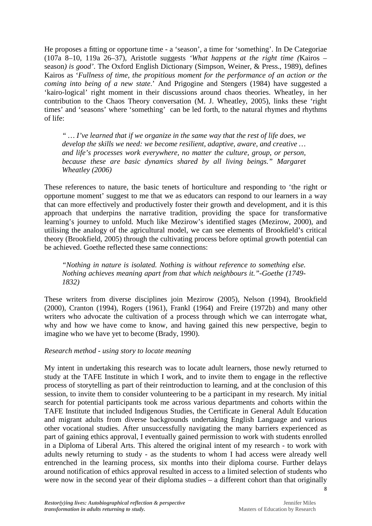He proposes a fitting or opportune time - a 'season', a time for 'something'. In De Categoriae (107a 8–10, 119a 26–37), Aristotle suggests *'What happens at the right time (*Kairos – season*) is good'*. The Oxford English Dictionary (Simpson, Weiner, & Press., 1989), defines Kairos as '*Fullness of time, the propitious moment for the performance of an action or the coming into being of a new state*.' And Prigogine and Stengers (1984) have suggested a 'kairo-logical' right moment in their discussions around chaos theories. Wheatley, in her contribution to the Chaos Theory conversation (M. J. Wheatley, 2005), links these 'right times' and 'seasons' where 'something' can be led forth, to the natural rhymes and rhythms of life:

*" … I've learned that if we organize in the same way that the rest of life does, we develop the skills we need: we become resilient, adaptive, aware, and creative … and life's processes work everywhere, no matter the culture, group, or person, because these are basic dynamics shared by all living beings." Margaret Wheatley (2006)* 

These references to nature, the basic tenets of horticulture and responding to 'the right or opportune moment' suggest to me that we as educators can respond to our learners in a way that can more effectively and productively foster their growth and development, and it is this approach that underpins the narrative tradition, providing the space for transformative learning's journey to unfold. Much like Mezirow's identified stages (Mezirow, 2000), and utilising the analogy of the agricultural model, we can see elements of Brookfield's critical theory (Brookfield, 2005) through the cultivating process before optimal growth potential can be achieved. Goethe reflected these same connections:

*"Nothing in nature is isolated. Nothing is without reference to something else. Nothing achieves meaning apart from that which neighbours it."-Goethe (1749- 1832)* 

These writers from diverse disciplines join Mezirow (2005), Nelson (1994), Brookfield (2000), Cranton (1994), Rogers (1961), Frankl (1964) and Freire (1972b) and many other writers who advocate the cultivation of a process through which we can interrogate what, why and how we have come to know, and having gained this new perspective, begin to imagine who we have yet to become (Brady, 1990).

#### *Research method - using story to locate meaning*

My intent in undertaking this research was to locate adult learners, those newly returned to study at the TAFE Institute in which I work, and to invite them to engage in the reflective process of storytelling as part of their reintroduction to learning, and at the conclusion of this session, to invite them to consider volunteering to be a participant in my research. My initial search for potential participants took me across various departments and cohorts within the TAFE Institute that included Indigenous Studies, the Certificate in General Adult Education and migrant adults from diverse backgrounds undertaking English Language and various other vocational studies. After unsuccessfully navigating the many barriers experienced as part of gaining ethics approval, I eventually gained permission to work with students enrolled in a Diploma of Liberal Arts. This altered the original intent of my research - to work with adults newly returning to study - as the students to whom I had access were already well entrenched in the learning process, six months into their diploma course. Further delays around notification of ethics approval resulted in access to a limited selection of students who were now in the second year of their diploma studies – a different cohort than that originally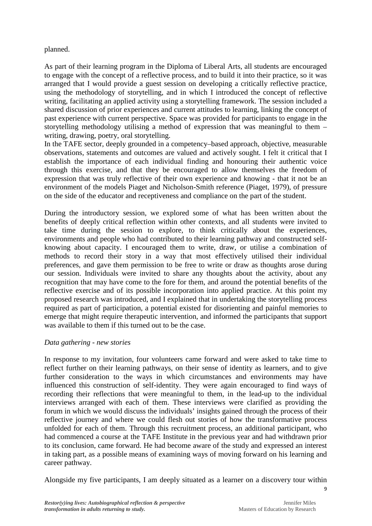### planned.

As part of their learning program in the Diploma of Liberal Arts, all students are encouraged to engage with the concept of a reflective process, and to build it into their practice, so it was arranged that I would provide a guest session on developing a critically reflective practice, using the methodology of storytelling, and in which I introduced the concept of reflective writing, facilitating an applied activity using a storytelling framework. The session included a shared discussion of prior experiences and current attitudes to learning, linking the concept of past experience with current perspective. Space was provided for participants to engage in the storytelling methodology utilising a method of expression that was meaningful to them – writing, drawing, poetry, oral storytelling.

In the TAFE sector, deeply grounded in a competency–based approach, objective, measurable observations, statements and outcomes are valued and actively sought. I felt it critical that I establish the importance of each individual finding and honouring their authentic voice through this exercise, and that they be encouraged to allow themselves the freedom of expression that was truly reflective of their own experience and knowing - that it not be an environment of the models Piaget and Nicholson-Smith reference (Piaget, 1979), of pressure on the side of the educator and receptiveness and compliance on the part of the student.

During the introductory session, we explored some of what has been written about the benefits of deeply critical reflection within other contexts, and all students were invited to take time during the session to explore, to think critically about the experiences, environments and people who had contributed to their learning pathway and constructed selfknowing about capacity. I encouraged them to write, draw, or utilise a combination of methods to record their story in a way that most effectively utilised their individual preferences, and gave them permission to be free to write or draw as thoughts arose during our session. Individuals were invited to share any thoughts about the activity, about any recognition that may have come to the fore for them, and around the potential benefits of the reflective exercise and of its possible incorporation into applied practice. At this point my proposed research was introduced, and I explained that in undertaking the storytelling process required as part of participation, a potential existed for disorienting and painful memories to emerge that might require therapeutic intervention, and informed the participants that support was available to them if this turned out to be the case.

#### *Data gathering - new stories*

In response to my invitation, four volunteers came forward and were asked to take time to reflect further on their learning pathways, on their sense of identity as learners, and to give further consideration to the ways in which circumstances and environments may have influenced this construction of self-identity. They were again encouraged to find ways of recording their reflections that were meaningful to them, in the lead-up to the individual interviews arranged with each of them. These interviews were clarified as providing the forum in which we would discuss the individuals' insights gained through the process of their reflective journey and where we could flesh out stories of how the transformative process unfolded for each of them. Through this recruitment process, an additional participant, who had commenced a course at the TAFE Institute in the previous year and had withdrawn prior to its conclusion, came forward. He had become aware of the study and expressed an interest in taking part, as a possible means of examining ways of moving forward on his learning and career pathway.

Alongside my five participants, I am deeply situated as a learner on a discovery tour within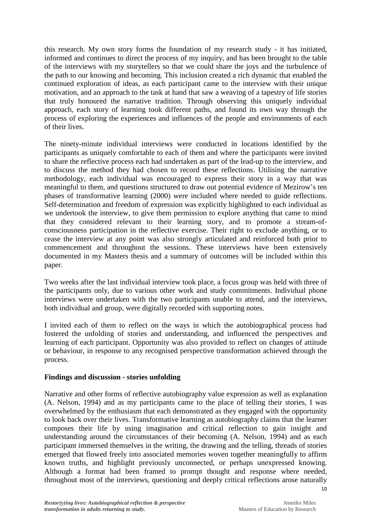this research. My own story forms the foundation of my research study - it has initiated, informed and continues to direct the process of my inquiry, and has been brought to the table of the interviews with my storytellers so that we could share the joys and the turbulence of the path to our knowing and becoming. This inclusion created a rich dynamic that enabled the continued exploration of ideas, as each participant came to the interview with their unique motivation, and an approach to the task at hand that saw a weaving of a tapestry of life stories that truly honoured the narrative tradition. Through observing this uniquely individual approach, each story of learning took different paths, and found its own way through the process of exploring the experiences and influences of the people and environments of each of their lives.

The ninety-minute individual interviews were conducted in locations identified by the participants as uniquely comfortable to each of them and where the participants were invited to share the reflective process each had undertaken as part of the lead-up to the interview, and to discuss the method they had chosen to record these reflections. Utilising the narrative methodology, each individual was encouraged to express their story in a way that was meaningful to them, and questions structured to draw out potential evidence of Mezirow's ten phases of transformative learning (2000) were included where needed to guide reflections. Self-determination and freedom of expression was explicitly highlighted to each individual as we undertook the interview, to give them permission to explore anything that came to mind that they considered relevant to their learning story, and to promote a stream-ofconsciousness participation in the reflective exercise. Their right to exclude anything, or to cease the interview at any point was also strongly articulated and reinforced both prior to commencement and throughout the sessions. These interviews have been extensively documented in my Masters thesis and a summary of outcomes will be included within this paper.

Two weeks after the last individual interview took place, a focus group was held with three of the participants only, due to various other work and study commitments. Individual phone interviews were undertaken with the two participants unable to attend, and the interviews, both individual and group, were digitally recorded with supporting notes.

I invited each of them to reflect on the ways in which the autobiographical process had fostered the unfolding of stories and understanding, and influenced the perspectives and learning of each participant. Opportunity was also provided to reflect on changes of attitude or behaviour, in response to any recognised perspective transformation achieved through the process.

## **Findings and discussion - stories unfolding**

Narrative and other forms of reflective autobiography value expression as well as explanation (A. Nelson, 1994) and as my participants came to the place of telling their stories, I was overwhelmed by the enthusiasm that each demonstrated as they engaged with the opportunity to look back over their lives. Transformative learning as autobiography claims that the learner composes their life by using imagination and critical reflection to gain insight and understanding around the circumstances of their becoming (A. Nelson, 1994) and as each participant immersed themselves in the writing, the drawing and the telling, threads of stories emerged that flowed freely into associated memories woven together meaningfully to affirm known truths, and highlight previously unconnected, or perhaps unexpressed knowing. Although a format had been framed to prompt thought and response where needed, throughout most of the interviews, questioning and deeply critical reflections arose naturally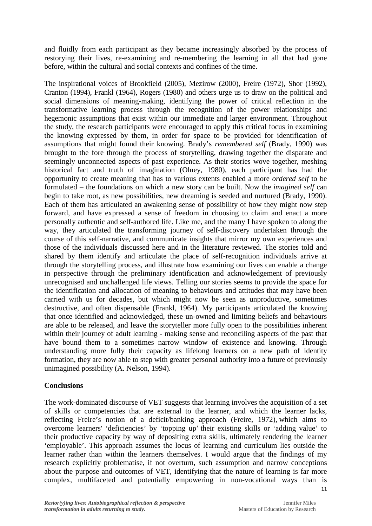and fluidly from each participant as they became increasingly absorbed by the process of restorying their lives, re-examining and re-membering the learning in all that had gone before, within the cultural and social contexts and confines of the time.

The inspirational voices of Brookfield (2005), Mezirow (2000), Freire (1972), Shor (1992), Cranton (1994), Frankl (1964), Rogers (1980) and others urge us to draw on the political and social dimensions of meaning-making, identifying the power of critical reflection in the transformative learning process through the recognition of the power relationships and hegemonic assumptions that exist within our immediate and larger environment. Throughout the study, the research participants were encouraged to apply this critical focus in examining the knowing expressed by them, in order for space to be provided for identification of assumptions that might found their knowing. Brady's *remembered self* (Brady, 1990) was brought to the fore through the process of storytelling, drawing together the disparate and seemingly unconnected aspects of past experience. As their stories wove together, meshing historical fact and truth of imagination (Olney, 1980), each participant has had the opportunity to create meaning that has to various extents enabled a more *ordered self* to be formulated – the foundations on which a new story can be built. Now the *imagined self* can begin to take root, as new possibilities, new dreaming is seeded and nurtured (Brady, 1990). Each of them has articulated an awakening sense of possibility of how they might now step forward, and have expressed a sense of freedom in choosing to claim and enact a more personally authentic and self-authored life. Like me, and the many I have spoken to along the way, they articulated the transforming journey of self-discovery undertaken through the course of this self-narrative, and communicate insights that mirror my own experiences and those of the individuals discussed here and in the literature reviewed. The stories told and shared by them identify and articulate the place of self-recognition individuals arrive at through the storytelling process, and illustrate how examining our lives can enable a change in perspective through the preliminary identification and acknowledgement of previously unrecognised and unchallenged life views. Telling our stories seems to provide the space for the identification and allocation of meaning to behaviours and attitudes that may have been carried with us for decades, but which might now be seen as unproductive, sometimes destructive, and often dispensable (Frankl, 1964). My participants articulated the knowing that once identified and acknowledged, these un-owned and limiting beliefs and behaviours are able to be released, and leave the storyteller more fully open to the possibilities inherent within their journey of adult learning - making sense and reconciling aspects of the past that have bound them to a sometimes narrow window of existence and knowing. Through understanding more fully their capacity as lifelong learners on a new path of identity formation, they are now able to step with greater personal authority into a future of previously unimagined possibility (A. Nelson, 1994).

#### **Conclusions**

The work-dominated discourse of VET suggests that learning involves the acquisition of a set of skills or competencies that are external to the learner, and which the learner lacks, reflecting Freire's notion of a deficit/banking approach (Freire, 1972), which aims to overcome learners' 'deficiencies' by 'topping up' their existing skills or 'adding value' to their productive capacity by way of depositing extra skills, ultimately rendering the learner 'employable'. This approach assumes the locus of learning and curriculum lies outside the learner rather than within the learners themselves. I would argue that the findings of my research explicitly problematise, if not overturn, such assumption and narrow conceptions about the purpose and outcomes of VET, identifying that the nature of learning is far more complex, multifaceted and potentially empowering in non-vocational ways than is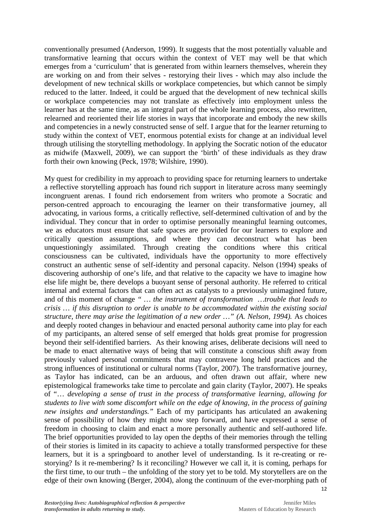conventionally presumed (Anderson, 1999). It suggests that the most potentially valuable and transformative learning that occurs within the context of VET may well be that which emerges from a 'curriculum' that is generated from within learners themselves, wherein they are working on and from their selves - restorying their lives - which may also include the development of new technical skills or workplace competencies, but which cannot be simply reduced to the latter. Indeed, it could be argued that the development of new technical skills or workplace competencies may not translate as effectively into employment unless the learner has at the same time, as an integral part of the whole learning process, also rewritten, relearned and reoriented their life stories in ways that incorporate and embody the new skills and competencies in a newly constructed sense of self. I argue that for the learner returning to study within the context of VET, enormous potential exists for change at an individual level through utilising the storytelling methodology. In applying the Socratic notion of the educator as midwife (Maxwell, 2009), we can support the 'birth' of these individuals as they draw forth their own knowing (Peck, 1978; Wilshire, 1990).

My quest for credibility in my approach to providing space for returning learners to undertake a reflective storytelling approach has found rich support in literature across many seemingly incongruent arenas. I found rich endorsement from writers who promote a Socratic and person-centred approach to encouraging the learner on their transformative journey, all advocating, in various forms, a critically reflective, self-determined cultivation of and by the individual. They concur that in order to optimise personally meaningful learning outcomes, we as educators must ensure that safe spaces are provided for our learners to explore and critically question assumptions, and where they can deconstruct what has been unquestioningly assimilated. Through creating the conditions where this critical consciousness can be cultivated, individuals have the opportunity to more effectively construct an authentic sense of self-identity and personal capacity. Nelson (1994) speaks of discovering authorship of one's life, and that relative to the capacity we have to imagine how else life might be, there develops a buoyant sense of personal authority. He referred to critical internal and external factors that can often act as catalysts to a previously unimagined future, and of this moment of change *" … the instrument of transformation …trouble that leads to crisis … if this disruption to order is unable to be accommodated within the existing social structure, there may arise the legitimation of a new order ...*" (A. Nelson, 1994). As choices and deeply rooted changes in behaviour and enacted personal authority came into play for each of my participants, an altered sense of self emerged that holds great promise for progression beyond their self-identified barriers. As their knowing arises, deliberate decisions will need to be made to enact alternative ways of being that will constitute a conscious shift away from previously valued personal commitments that may contravene long held practices and the strong influences of institutional or cultural norms (Taylor, 2007). The transformative journey, as Taylor has indicated, can be an arduous, and often drawn out affair, where new epistemological frameworks take time to percolate and gain clarity (Taylor, 2007). He speaks of "… *developing a sense of trust in the process of transformative learning, allowing for students to live with some discomfort while on the edge of knowing, in the process of gaining new insights and understandings."* Each of my participants has articulated an awakening sense of possibility of how they might now step forward, and have expressed a sense of freedom in choosing to claim and enact a more personally authentic and self-authored life. The brief opportunities provided to lay open the depths of their memories through the telling of their stories is limited in its capacity to achieve a totally transformed perspective for these learners, but it is a springboard to another level of understanding. Is it re-creating or restorying? Is it re-membering? Is it reconciling? However we call it, it is coming, perhaps for the first time, to our truth – the unfolding of the story yet to be told. My storytellers are on the edge of their own knowing (Berger, 2004), along the continuum of the ever-morphing path of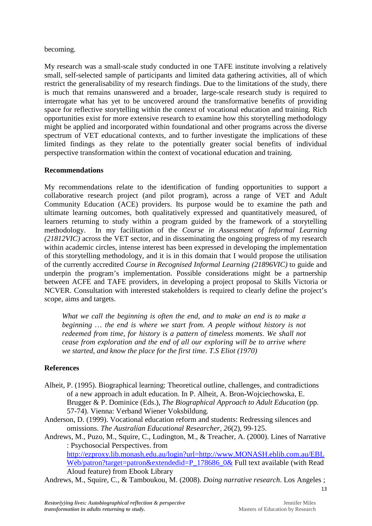### becoming.

My research was a small-scale study conducted in one TAFE institute involving a relatively small, self-selected sample of participants and limited data gathering activities, all of which restrict the generalisability of my research findings. Due to the limitations of the study, there is much that remains unanswered and a broader, large-scale research study is required to interrogate what has yet to be uncovered around the transformative benefits of providing space for reflective storytelling within the context of vocational education and training. Rich opportunities exist for more extensive research to examine how this storytelling methodology might be applied and incorporated within foundational and other programs across the diverse spectrum of VET educational contexts, and to further investigate the implications of these limited findings as they relate to the potentially greater social benefits of individual perspective transformation within the context of vocational education and training.

## **Recommendations**

My recommendations relate to the identification of funding opportunities to support a collaborative research project (and pilot program), across a range of VET and Adult Community Education (ACE) providers. Its purpose would be to examine the path and ultimate learning outcomes, both qualitatively expressed and quantitatively measured, of learners returning to study within a program guided by the framework of a storytelling methodology. In my facilitation of the *Course in Assessment of Informal Learning (21812VIC)* across the VET sector, and in disseminating the ongoing progress of my research within academic circles, intense interest has been expressed in developing the implementation of this storytelling methodology, and it is in this domain that I would propose the utilisation of the currently accredited *Course in Recognised Informal Learning (21896VIC)* to guide and underpin the program's implementation. Possible considerations might be a partnership between ACFE and TAFE providers, in developing a project proposal to Skills Victoria or NCVER. Consultation with interested stakeholders is required to clearly define the project's scope, aims and targets.

*What we call the beginning is often the end, and to make an end is to make a beginning … the end is where we start from. A people without history is not redeemed from time, for history is a pattern of timeless moments. We shall not cease from exploration and the end of all our exploring will be to arrive where we started, and know the place for the first time. T.S Eliot (1970)* 

## **References**

- Alheit, P. (1995). Biographical learning: Theoretical outline, challenges, and contradictions of a new approach in adult education. In P. Alheit, A. Bron-Wojciechowska, E. Brugger & P. Dominice (Eds.), *The Biographical Approach to Adult Education* (pp. 57-74). Vienna: Verband Wiener Voksbildung.
- Anderson, D. (1999). Vocational education reform and students: Redressing silences and omissions. *The Australian Educational Researcher, 26*(2), 99-125.
- Andrews, M., Puzo, M., Squire, C., Ludington, M., & Treacher, A. (2000). Lines of Narrative : Psychosocial Perspectives. from

http://ezproxy.lib.monash.edu.au/login?url=http://www.MONASH.eblib.com.au/EBL Web/patron?target=patron&extendedid=P\_178686\_0& Full text available (with Read Aloud feature) from Ebook Library

Andrews, M., Squire, C., & Tamboukou, M. (2008). *Doing narrative research*. Los Angeles ;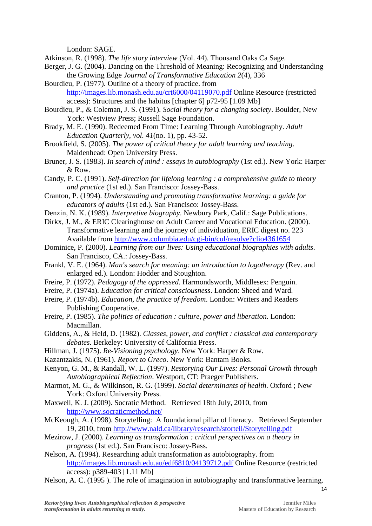London: SAGE.

- Atkinson, R. (1998). *The life story interview* (Vol. 44). Thousand Oaks Ca Sage.
- Berger, J. G. (2004). Dancing on the Threshold of Meaning: Recognizing and Understanding the Growing Edge *Journal of Transformative Education 2*(4), 336
- Bourdieu, P. (1977). Outline of a theory of practice. from http://images.lib.monash.edu.au/crt6000/04119070.pdf Online Resource (restricted access): Structures and the habitus [chapter 6] p72-95 [1.09 Mb]
- Bourdieu, P., & Coleman, J. S. (1991). *Social theory for a changing society*. Boulder, New York: Westview Press; Russell Sage Foundation.
- Brady, M. E. (1990). Redeemed From Time: Learning Through Autobiography. *Adult Education Quarterly, vol. 41*(no. 1), pp. 43-52.
- Brookfield, S. (2005). *The power of critical theory for adult learning and teaching*. Maidenhead: Open University Press.
- Bruner, J. S. (1983). *In search of mind : essays in autobiography* (1st ed.). New York: Harper & Row.
- Candy, P. C. (1991). *Self-direction for lifelong learning : a comprehensive guide to theory and practice* (1st ed.). San Francisco: Jossey-Bass.
- Cranton, P. (1994). *Understanding and promoting transformative learning: a guide for educators of adults* (1st ed.). San Francisco: Jossey-Bass.
- Denzin, N. K. (1989). *Interpretive biography*. Newbury Park, Calif.: Sage Publications.
- Dirkx, J. M., & ERIC Clearinghouse on Adult Career and Vocational Education. (2000). Transformative learning and the journey of individuation, ERIC digest no. 223 Available from http://www.columbia.edu/cgi-bin/cul/resolve?clio4361654
- Dominice, P. (2000). *Learning from our lives: Using educational biographies with adults*. San Francisco, CA.: Jossey-Bass.
- Frankl, V. E. (1964). *Man's search for meaning: an introduction to logotherapy* (Rev. and enlarged ed.). London: Hodder and Stoughton.
- Freire, P. (1972). *Pedagogy of the oppressed*. Harmondsworth, Middlesex: Penguin.
- Freire, P. (1974a). *Education for critical consciousness*. London: Sheed and Ward.
- Freire, P. (1974b). *Education, the practice of freedom*. London: Writers and Readers Publishing Cooperative.
- Freire, P. (1985). *The politics of education : culture, power and liberation*. London: Macmillan.
- Giddens, A., & Held, D. (1982). *Classes, power, and conflict : classical and contemporary debates*. Berkeley: University of California Press.
- Hillman, J. (1975). *Re-Visioning psychology*. New York: Harper & Row.
- Kazantzakis, N. (1961). *Report to Greco*. New York: Bantam Books.
- Kenyon, G. M., & Randall, W. L. (1997). *Restorying Our Lives: Personal Growth through Autobiographical Reflection*. Westport, CT: Praeger Publishers.
- Marmot, M. G., & Wilkinson, R. G. (1999). *Social determinants of health*. Oxford ; New York: Oxford University Press.
- Maxwell, K. J. (2009). Socratic Method. Retrieved 18th July, 2010, from http://www.socraticmethod.net/
- McKeough, A. (1998). Storytelling: A foundational pillar of literacy. Retrieved September 19, 2010, from http://www.nald.ca/library/research/stortell/Storytelling.pdf
- Mezirow, J. (2000). *Learning as transformation : critical perspectives on a theory in progress* (1st ed.). San Francisco: Jossey-Bass.
- Nelson, A. (1994). Researching adult transformation as autobiography. from http://images.lib.monash.edu.au/edf6810/04139712.pdf Online Resource (restricted access): p389-403 [1.11 Mb]
- Nelson, A. C. (1995 ). The role of imagination in autobiography and transformative learning.